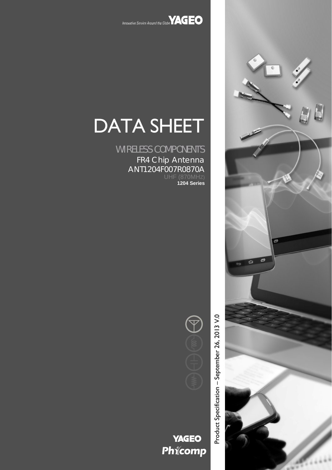

# DATA SHEET

WIRELESS COMPONENTS FR4 Chip Antenna ANT1204F007R0870A **1204 Series**



Product Specification - September 26, 2013 V.0 Product Specification – September 26, 2013 V.0

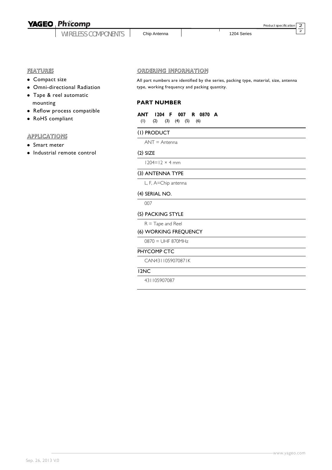# **YAGEO Phicomp**

WIRELESS COMPONENTS

Chip Antenna | 1204 Series

2  $\overline{2}$ 

Product specification

#### FEATURES

- Compact size
- Omni-directional Radiation
- Tape & reel automatic mounting
- Reflow process compatible
- RoHS compliant

#### **APPLICATIONS**

- Smart meter
- Industrial remote control

#### ORDERING INFORMATION

All part numbers are identified by the series, packing type, material, size, antenna type, working frequency and packing quantity.

#### **PART NUMBER**

**ANT 1204 F 007 R 0870 A** (1) (2) (3) (4) (5) (6)

#### (1) PRODUCT

ANT = Antenna

#### (2) SIZE

 $1204 = 12 \times 4$  mm

#### (3) ANTENNA TYPE

L, F, A=Chip antenna

#### (4) SERIAL NO.

007

#### (5) PACKING STYLE

 $R =$ Tape and Reel

#### (6) WORKING FREQUENCY

0870 = UHF 870MHz

#### PHYCOMP CTC

CAN4311059070871K

#### 12NC

431105907087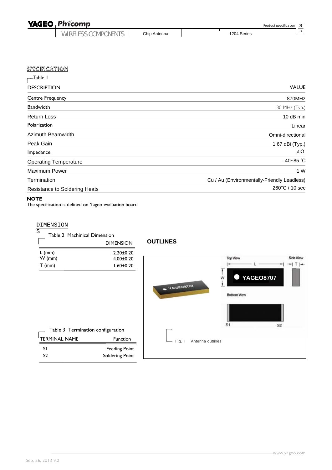| <b>YAGEO Phicomp</b>       |  |              | Product specification |  |  |
|----------------------------|--|--------------|-----------------------|--|--|
| <b>WIRELESS COMPONENTS</b> |  | Chip Antenna | 1204 Series           |  |  |

| Table I                       |                                             |
|-------------------------------|---------------------------------------------|
| <b>DESCRIPTION</b>            | <b>VALUE</b>                                |
| Centre Frequency              | 870MHz                                      |
| <b>Bandwidth</b>              | 30 MHz (Typ.)                               |
| Return Loss                   | 10 dB min                                   |
| Polarization                  | Linear                                      |
| Azimuth Beamwidth             | Omni-directional                            |
| Peak Gain                     | 1.67 dBi (Typ.)                             |
| Impedance                     | $50\Omega$                                  |
| <b>Operating Temperature</b>  | $-40 - 85$ °C                               |
| <b>Maximum Power</b>          | 1 W                                         |
| Termination                   | Cu / Au (Environmentally-Friendly Leadless) |
| Resistance to Soldering Heats | 260°C / 10 sec                              |

#### **NOTE**

The specification is defined on Yageo evaluation board

#### DIMENSION

| S | Table 2 Machinical Dimension |
|---|------------------------------|
|   |                              |

|          | <b>DIMENSION</b> |
|----------|------------------|
| $L$ (mm) | $12.20 + 0.20$   |
| $W$ (mm) | $4.00 \pm 0.20$  |
| $T$ (mm) | $1.60 \pm 0.20$  |

| <b>OUTLINES</b> |  |  |
|-----------------|--|--|
|                 |  |  |



S1 S2 3 3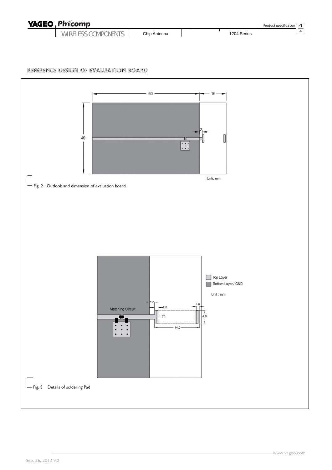| <b>YAGEO Phicomp</b>       |              | Product specification 4 |  |
|----------------------------|--------------|-------------------------|--|
| <b>WIRELESS COMPONENTS</b> | Chip Antenna | 1204 Series             |  |

### REFERENCE DESIGN OF EVALUATION BOARD

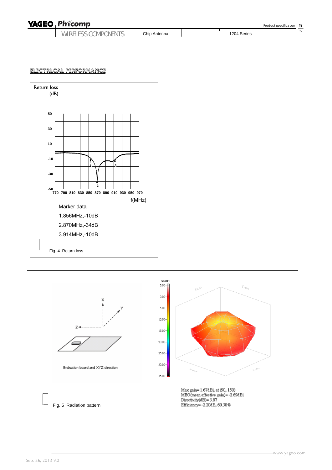## **YAGEO Phicomp**

WIRELESS COMPONENTS

Chip Antenna 1204 Series

Product specification

5 5

## <u>electrlcal performance</u>